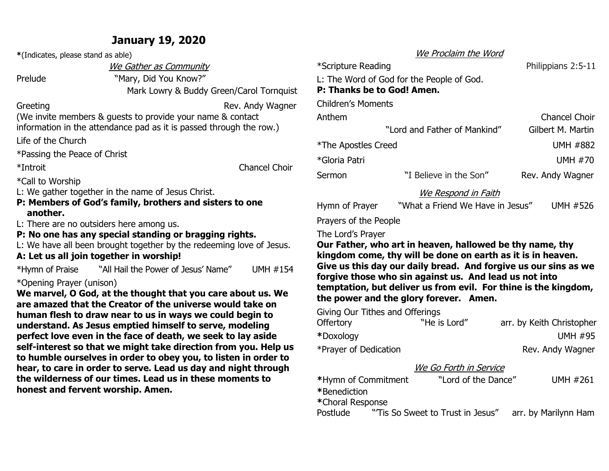## **January 19, 2020**

**\***(Indicates, please stand as able)

We Gather as Community

Prelude "Mary, Did You Know?"

Mark Lowry & Buddy Green/Carol Tornquist

Greeting Greeting Communication Communication Rev. Andy Wagner

(We invite members & guests to provide your name & contact information in the attendance pad as it is passed through the row.)

Life of the Church

\*Passing the Peace of Christ

\*Introit Chancel Choir

\*Call to Worship

L: We gather together in the name of Jesus Christ.

**P: Members of God's family, brothers and sisters to one another.**

L: There are no outsiders here among us.

**P: No one has any special standing or bragging rights.**

L: We have all been brought together by the redeeming love of Jesus.

**A: Let us all join together in worship!** \*Hymn of Praise "All Hail the Power of Jesus' Name" UMH #154

### \*Opening Prayer (unison)

**We marvel, O God, at the thought that you care about us. We are amazed that the Creator of the universe would take on human flesh to draw near to us in ways we could begin to understand. As Jesus emptied himself to serve, modeling perfect love even in the face of death, we seek to lay aside self-interest so that we might take direction from you. Help us to humble ourselves in order to obey you, to listen in order to hear, to care in order to serve. Lead us day and night through the wilderness of our times. Lead us in these moments to honest and fervent worship. Amen.**

### We Proclaim the Word

\*Scripture Reading **Philippians 2:5-11** L: The Word of God for the People of God. **P: Thanks be to God! Amen.** Children's Moments Anthem Chancel Choir "Lord and Father of Mankind" Gilbert M. Martin \*The Apostles CreedUMH #882

\*Gloria PatriUMH #70 Sermon **The Son "I Believe in the Son"** Rev. Andy Wagner

### We Respond in Faith

Hymn of Prayer"What a Friend We Have in Jesus" UMH #526

Prayers of the People

The Lord's Prayer

**Our Father, who art in heaven, hallowed be thy name, thy kingdom come, thy will be done on earth as it is in heaven. Give us this day our daily bread. And forgive us our sins as we forgive those who sin against us. And lead us not into temptation, but deliver us from evil. For thine is the kingdom, the power and the glory forever. Amen.**

Giving Our Tithes and Offerings

| <b>Offertory</b>      | "He is Lord" | arr. by Keith Christopher |
|-----------------------|--------------|---------------------------|
| *Doxology             |              | <b>UMH #95</b>            |
| *Prayer of Dedication |              | Rev. Andy Wagner          |

### We Go Forth in Service

| *Hymn of Commitment | "Lord of the Dance"              | <b>UMH #261</b>      |  |
|---------------------|----------------------------------|----------------------|--|
| *Benediction        |                                  |                      |  |
| *Choral Response    |                                  |                      |  |
| Postlude            | "Tis So Sweet to Trust in Jesus" | arr. by Marilynn Ham |  |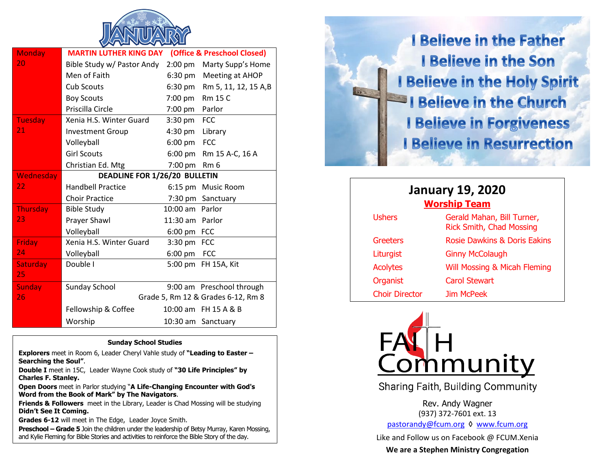

| <b>Monday</b>    | (Office & Preschool Closed)<br><b>MARTIN LUTHER KING DAY</b> |                   |                                    |  |
|------------------|--------------------------------------------------------------|-------------------|------------------------------------|--|
| 20               | Bible Study w/ Pastor Andy                                   | $2:00$ pm         | Marty Supp's Home                  |  |
|                  | Men of Faith                                                 | $6:30 \text{ pm}$ | Meeting at AHOP                    |  |
|                  | <b>Cub Scouts</b>                                            | $6:30 \text{ pm}$ | Rm 5, 11, 12, 15 A,B               |  |
|                  | <b>Boy Scouts</b>                                            | 7:00 pm           | <b>Rm 15 C</b>                     |  |
|                  | Priscilla Circle                                             | $7:00 \text{ pm}$ | Parlor                             |  |
| Tuesday          | Xenia H.S. Winter Guard                                      | $3:30$ pm         | <b>FCC</b>                         |  |
| 21               | <b>Investment Group</b>                                      | $4:30 \text{ pm}$ | Library                            |  |
|                  | Volleyball                                                   | $6:00 \text{ pm}$ | <b>FCC</b>                         |  |
|                  | <b>Girl Scouts</b>                                           | $6:00 \text{ pm}$ | Rm 15 A-C, 16 A                    |  |
|                  | Christian Ed. Mtg                                            | 7:00 pm           | Rm <sub>6</sub>                    |  |
| <b>Wednesday</b> | DEADLINE FOR 1/26/20 BULLETIN                                |                   |                                    |  |
| 22               | <b>Handbell Practice</b>                                     |                   | 6:15 pm Music Room                 |  |
|                  | <b>Choir Practice</b>                                        |                   | 7:30 pm Sanctuary                  |  |
| <b>Thursday</b>  | <b>Bible Study</b>                                           | 10:00 am Parlor   |                                    |  |
| 23               | Prayer Shawl                                                 | 11:30 am Parlor   |                                    |  |
|                  | Volleyball                                                   | $6:00 \text{ pm}$ | <b>FCC</b>                         |  |
| <b>Friday</b>    | Xenia H.S. Winter Guard                                      | $3:30 \text{ pm}$ | <b>FCC</b>                         |  |
| 24               | Volleyball                                                   | $6:00 \text{ pm}$ | <b>FCC</b>                         |  |
| <b>Saturday</b>  | Double I                                                     | 5:00 pm           | FH 15A, Kit                        |  |
| 25               |                                                              |                   |                                    |  |
| <b>Sunday</b>    | <b>Sunday School</b>                                         |                   | 9:00 am Preschool through          |  |
| 26               |                                                              |                   | Grade 5, Rm 12 & Grades 6-12, Rm 8 |  |
|                  | Fellowship & Coffee                                          |                   | 10:00 am FH 15 A & B               |  |
|                  | Worship                                                      |                   | 10:30 am Sanctuary                 |  |

#### **Sunday School Studies**

**Explorers** meet in Room 6, Leader Cheryl Vahle study of **"Leading to Easter – Searching the Soul"**.

**Double I** meet in 15C, Leader Wayne Cook study of **"30 Life Principles" by Charles F. Stanley.**

**Open Doors** meet in Parlor studying "**A Life-Changing Encounter with God's Word from the Book of Mark" by The Navigators**.

**Friends & Followers** meet in the Library, Leader is Chad Mossing will be studying **Didn't See It Coming.**

**Grades 6-12** will meet in The Edge, Leader Joyce Smith.

**Preschool – Grade 5** Join the children under the leadership of Betsy Murray, Karen Mossing, and Kylie Fleming for Bible Stories and activities to reinforce the Bible Story of the day.

**I Believe in the Father I Believe in the Son I Believe in the Holy Spirit I Believe in the Church I Believe in Forgiveness I Believe in Resurrection** 

| <b>January 19, 2020</b><br><b>Worship Team</b> |                                                               |  |  |  |
|------------------------------------------------|---------------------------------------------------------------|--|--|--|
| <b>Ushers</b>                                  | Gerald Mahan, Bill Turner,<br><b>Rick Smith, Chad Mossing</b> |  |  |  |
| Greeters                                       | Rosie Dawkins & Doris Eakins                                  |  |  |  |
| Liturgist                                      | <b>Ginny McColaugh</b>                                        |  |  |  |
| <b>Acolytes</b>                                | Will Mossing & Micah Fleming                                  |  |  |  |
| Organist                                       | <b>Carol Stewart</b>                                          |  |  |  |
| <b>Choir Director</b>                          | <b>Jim McPeek</b>                                             |  |  |  |



**Sharing Faith, Building Community** 

Rev. Andy Wagner (937) 372-7601 ext. 13 [pastorandy@fcum.org](mailto:pastorandy@fcum.org) ◊ [www.fcum.org](http://www.fcum.org/)

Like and Follow us on Facebook @ FCUM.Xenia **We are a Stephen Ministry Congregation**